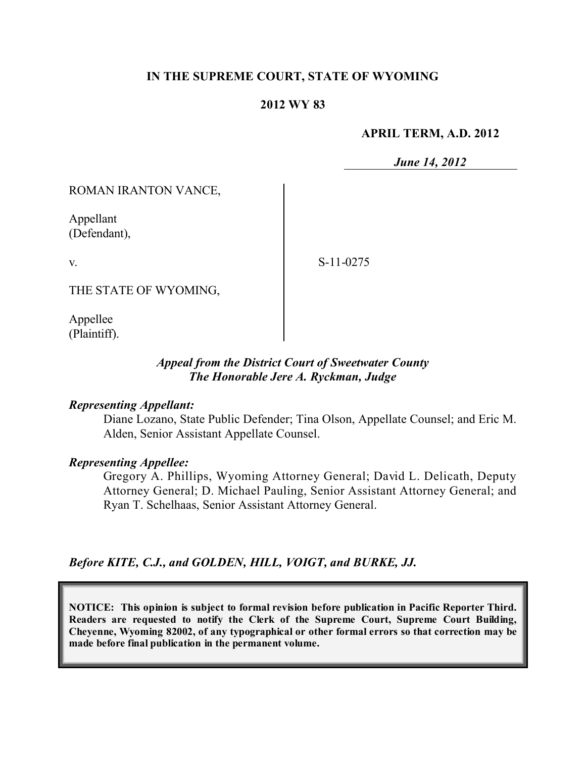### **IN THE SUPREME COURT, STATE OF WYOMING**

### **2012 WY 83**

#### **APRIL TERM, A.D. 2012**

*June 14, 2012*

ROMAN IRANTON VANCE,

Appellant (Defendant),

v.

S-11-0275

THE STATE OF WYOMING,

Appellee (Plaintiff).

### *Appeal from the District Court of Sweetwater County The Honorable Jere A. Ryckman, Judge*

#### *Representing Appellant:*

Diane Lozano, State Public Defender; Tina Olson, Appellate Counsel; and Eric M. Alden, Senior Assistant Appellate Counsel.

### *Representing Appellee:*

Gregory A. Phillips, Wyoming Attorney General; David L. Delicath, Deputy Attorney General; D. Michael Pauling, Senior Assistant Attorney General; and Ryan T. Schelhaas, Senior Assistant Attorney General.

*Before KITE, C.J., and GOLDEN, HILL, VOIGT, and BURKE, JJ.*

**NOTICE: This opinion is subject to formal revision before publication in Pacific Reporter Third. Readers are requested to notify the Clerk of the Supreme Court, Supreme Court Building, Cheyenne, Wyoming 82002, of any typographical or other formal errors so that correction may be made before final publication in the permanent volume.**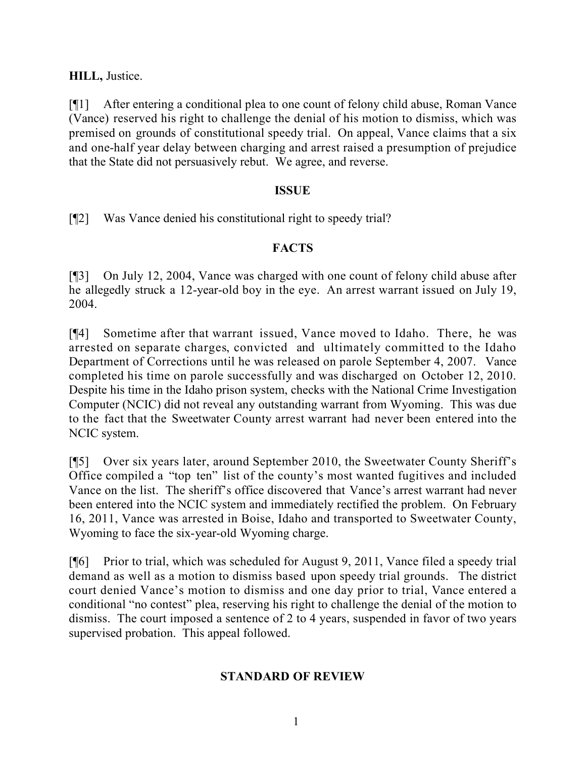## **HILL,** Justice.

[¶1] After entering a conditional plea to one count of felony child abuse, Roman Vance (Vance) reserved his right to challenge the denial of his motion to dismiss, which was premised on grounds of constitutional speedy trial. On appeal, Vance claims that a six and one-half year delay between charging and arrest raised a presumption of prejudice that the State did not persuasively rebut. We agree, and reverse.

## **ISSUE**

[¶2] Was Vance denied his constitutional right to speedy trial?

## **FACTS**

[¶3] On July 12, 2004, Vance was charged with one count of felony child abuse after he allegedly struck a 12-year-old boy in the eye. An arrest warrant issued on July 19, 2004.

[¶4] Sometime after that warrant issued, Vance moved to Idaho. There, he was arrested on separate charges, convicted and ultimately committed to the Idaho Department of Corrections until he was released on parole September 4, 2007. Vance completed his time on parole successfully and was discharged on October 12, 2010. Despite his time in the Idaho prison system, checks with the National Crime Investigation Computer (NCIC) did not reveal any outstanding warrant from Wyoming. This was due to the fact that the Sweetwater County arrest warrant had never been entered into the NCIC system.

[¶5] Over six years later, around September 2010, the Sweetwater County Sheriff's Office compiled a "top ten" list of the county's most wanted fugitives and included Vance on the list. The sheriff's office discovered that Vance's arrest warrant had never been entered into the NCIC system and immediately rectified the problem. On February 16, 2011, Vance was arrested in Boise, Idaho and transported to Sweetwater County, Wyoming to face the six-year-old Wyoming charge.

[¶6] Prior to trial, which was scheduled for August 9, 2011, Vance filed a speedy trial demand as well as a motion to dismiss based upon speedy trial grounds. The district court denied Vance's motion to dismiss and one day prior to trial, Vance entered a conditional "no contest" plea, reserving his right to challenge the denial of the motion to dismiss. The court imposed a sentence of 2 to 4 years, suspended in favor of two years supervised probation. This appeal followed.

# **STANDARD OF REVIEW**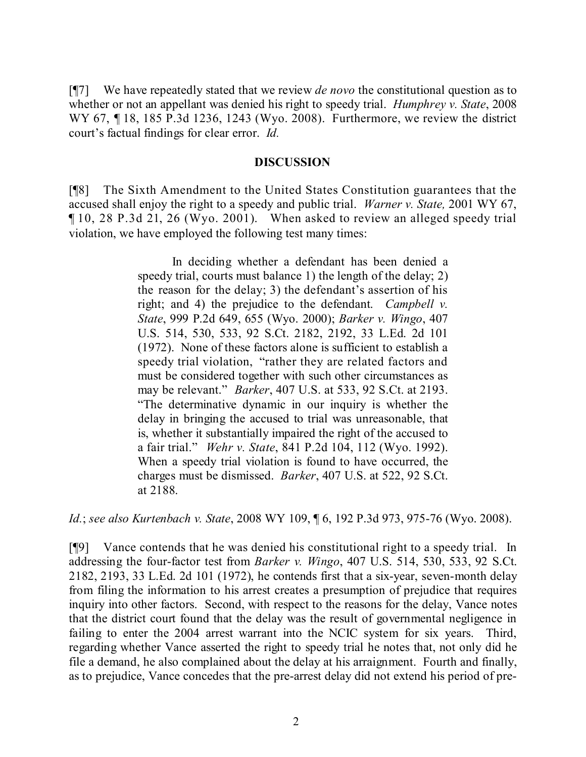[¶7] We have repeatedly stated that we review *de novo* the constitutional question as to whether or not an appellant was denied his right to speedy trial. *Humphrey v. State*, 2008 WY 67, ¶ 18, 185 P.3d 1236, 1243 (Wyo. 2008). Furthermore, we review the district court's factual findings for clear error. *Id.*

### **DISCUSSION**

[¶8] The Sixth Amendment to the United States Constitution guarantees that the accused shall enjoy the right to a speedy and public trial. *Warner v. State,* 2001 WY 67, ¶ 10, 28 P.3d 21, 26 (Wyo. 2001). When asked to review an alleged speedy trial violation, we have employed the following test many times:

> In deciding whether a defendant has been denied a speedy trial, courts must balance 1) the length of the delay; 2) the reason for the delay; 3) the defendant's assertion of his right; and 4) the prejudice to the defendant. *Campbell v. State*, 999 P.2d 649, 655 (Wyo. 2000); *Barker v. Wingo*, 407 U.S. 514, 530, 533, 92 S.Ct. 2182, 2192, 33 L.Ed. 2d 101 (1972). None of these factors alone is sufficient to establish a speedy trial violation, "rather they are related factors and must be considered together with such other circumstances as may be relevant." *Barker*, 407 U.S. at 533, 92 S.Ct. at 2193. "The determinative dynamic in our inquiry is whether the delay in bringing the accused to trial was unreasonable, that is, whether it substantially impaired the right of the accused to a fair trial." *Wehr v. State*, 841 P.2d 104, 112 (Wyo. 1992). When a speedy trial violation is found to have occurred, the charges must be dismissed. *Barker*, 407 U.S. at 522, 92 S.Ct. at 2188.

*Id.*; *see also Kurtenbach v. State*, 2008 WY 109, ¶ 6, 192 P.3d 973, 975-76 (Wyo. 2008).

[¶9] Vance contends that he was denied his constitutional right to a speedy trial. In addressing the four-factor test from *Barker v. Wingo*, 407 U.S. 514, 530, 533, 92 S.Ct. 2182, 2193, 33 L.Ed. 2d 101 (1972), he contends first that a six-year, seven-month delay from filing the information to his arrest creates a presumption of prejudice that requires inquiry into other factors. Second, with respect to the reasons for the delay, Vance notes that the district court found that the delay was the result of governmental negligence in failing to enter the 2004 arrest warrant into the NCIC system for six years. Third, regarding whether Vance asserted the right to speedy trial he notes that, not only did he file a demand, he also complained about the delay at his arraignment. Fourth and finally, as to prejudice, Vance concedes that the pre-arrest delay did not extend his period of pre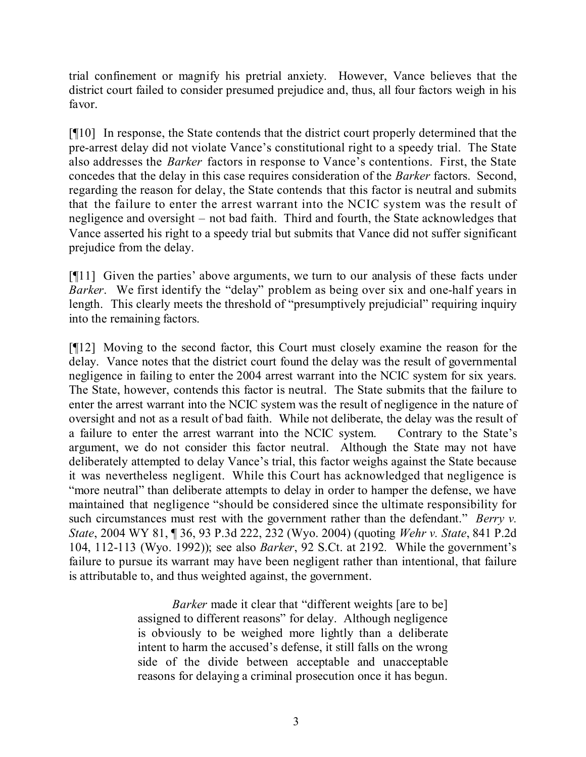trial confinement or magnify his pretrial anxiety. However, Vance believes that the district court failed to consider presumed prejudice and, thus, all four factors weigh in his favor.

[¶10] In response, the State contends that the district court properly determined that the pre-arrest delay did not violate Vance's constitutional right to a speedy trial. The State also addresses the *Barker* factors in response to Vance's contentions. First, the State concedes that the delay in this case requires consideration of the *Barker* factors. Second, regarding the reason for delay, the State contends that this factor is neutral and submits that the failure to enter the arrest warrant into the NCIC system was the result of negligence and oversight – not bad faith. Third and fourth, the State acknowledges that Vance asserted his right to a speedy trial but submits that Vance did not suffer significant prejudice from the delay.

[¶11] Given the parties' above arguments, we turn to our analysis of these facts under *Barker*. We first identify the "delay" problem as being over six and one-half years in length. This clearly meets the threshold of "presumptively prejudicial" requiring inquiry into the remaining factors.

[¶12] Moving to the second factor, this Court must closely examine the reason for the delay. Vance notes that the district court found the delay was the result of governmental negligence in failing to enter the 2004 arrest warrant into the NCIC system for six years. The State, however, contends this factor is neutral. The State submits that the failure to enter the arrest warrant into the NCIC system was the result of negligence in the nature of oversight and not as a result of bad faith. While not deliberate, the delay was the result of a failure to enter the arrest warrant into the NCIC system. Contrary to the State's argument, we do not consider this factor neutral. Although the State may not have deliberately attempted to delay Vance's trial, this factor weighs against the State because it was nevertheless negligent. While this Court has acknowledged that negligence is "more neutral" than deliberate attempts to delay in order to hamper the defense, we have maintained that negligence "should be considered since the ultimate responsibility for such circumstances must rest with the government rather than the defendant." *Berry v. State*, 2004 WY 81, ¶ 36, 93 P.3d 222, 232 (Wyo. 2004) (quoting *Wehr v. State*, 841 P.2d 104, 112-113 (Wyo. 1992)); see also *Barker*, 92 S.Ct. at 2192*.* While the government's failure to pursue its warrant may have been negligent rather than intentional, that failure is attributable to, and thus weighted against, the government.

> *Barker* made it clear that "different weights [are to be] assigned to different reasons" for delay. Although negligence is obviously to be weighed more lightly than a deliberate intent to harm the accused's defense, it still falls on the wrong side of the divide between acceptable and unacceptable reasons for delaying a criminal prosecution once it has begun.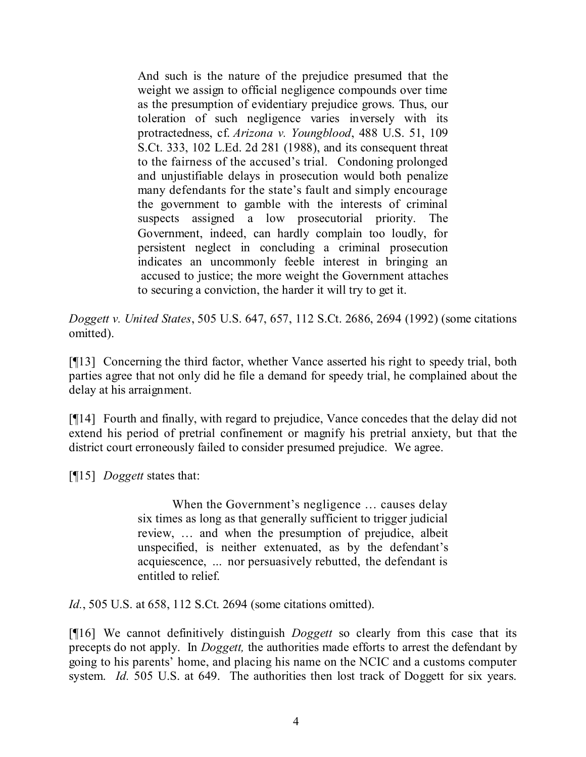And such is the nature of the prejudice presumed that the weight we assign to official negligence compounds over time as the presumption of evidentiary prejudice grows. Thus, our toleration of such negligence varies inversely with its protractedness, cf. *Arizona v. Youngblood*, 488 U.S. 51, 109 S.Ct. 333, 102 L.Ed. 2d 281 (1988), and its consequent threat to the fairness of the accused's trial. Condoning prolonged and unjustifiable delays in prosecution would both penalize many defendants for the state's fault and simply encourage the government to gamble with the interests of criminal suspects assigned a low prosecutorial priority. The Government, indeed, can hardly complain too loudly, for persistent neglect in concluding a criminal prosecution indicates an uncommonly feeble interest in bringing an accused to justice; the more weight the Government attaches to securing a conviction, the harder it will try to get it.

*Doggett v. United States*, 505 U.S. 647, 657, 112 S.Ct. 2686, 2694 (1992) (some citations omitted).

[¶13] Concerning the third factor, whether Vance asserted his right to speedy trial, both parties agree that not only did he file a demand for speedy trial, he complained about the delay at his arraignment.

[¶14] Fourth and finally, with regard to prejudice, Vance concedes that the delay did not extend his period of pretrial confinement or magnify his pretrial anxiety, but that the district court erroneously failed to consider presumed prejudice. We agree.

[¶15] *Doggett* states that:

When the Government's negligence … causes delay six times as long as that generally sufficient to trigger judicial review, … and when the presumption of prejudice, albeit unspecified, is neither extenuated, as by the defendant's acquiescence, *…* nor persuasively rebutted, the defendant is entitled to relief.

*Id.*, 505 U.S. at 658, 112 S.Ct. 2694 (some citations omitted).

[¶16] We cannot definitively distinguish *Doggett* so clearly from this case that its precepts do not apply. In *Doggett,* the authorities made efforts to arrest the defendant by going to his parents' home, and placing his name on the NCIC and a customs computer system. *Id.* 505 U.S. at 649. The authorities then lost track of Doggett for six years.